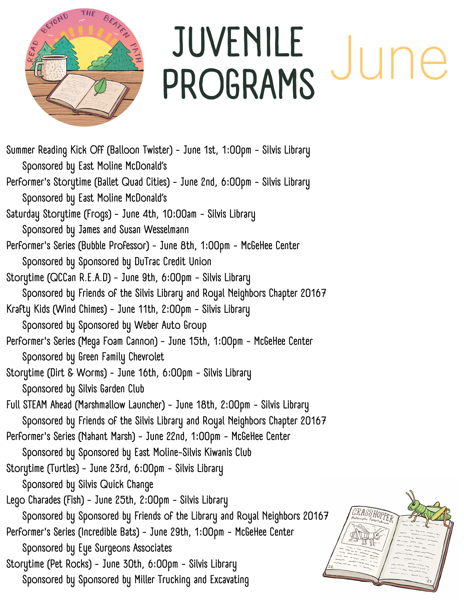

## **JUVENILE PROGRAMS** June

GRASSHOPP

**Summer Reading Kick Off (Balloon Twister) - June 1st, 1:00pm - Silvis Library Sponsored by East Moline McDonald's Performer's Storytime (Ballet Quad Cities) - June 2nd, 6:00pm - Silvis Library Sponsored by East Moline McDonald's Saturday Storytime (Frogs) - June 4th, 10:00am - Silvis Library Sponsored by James and Susan Wesselmann Performer's Series (Bubble Professor) - June 8th, 1:00pm - McGeHee Center Sponsored by Sponsored by DuTrac Credit Union Storytime (QCCan R.E.A.D) - June 9th, 6:00pm - Silvis Library Sponsored by Friends of the Silvis Library and Royal Neighbors Chapter 20167 Krafty Kids (Wind Chimes) - June 11th, 2:00pm - Silvis Library Sponsored by Sponsored by Weber Auto Group Performer's Series (Mega Foam Cannon) - June 15th, 1:00pm - McGeHee Center Sponsored by Green Family Chevrolet Storytime (Dirt & Worms) - June 16th, 6:00pm - Silvis Library Sponsored by Silvis Garden Club Full STEAM Ahead (Marshmallow Launcher) - June 18th, 2:00pm - Silvis Library Sponsored by Friends of the Silvis Library and Royal Neighbors Chapter 20167 Performer's Series (Nahant Marsh) - June 22nd, 1:00pm - McGeHee Center Sponsored by Sponsored by East Moline-Silvis Kiwanis Club Storytime (Turtles) - June 23rd, 6:00pm - Silvis Library Sponsored by Silvis Quick Change Lego Charades (Fish) - June 25th, 2:00pm - Silvis Library Sponsored by Sponsored by Friends of the Library and Royal Neighbors 20167 Performer's Series (Incredible Bats) - June 29th, 1:00pm - McGeHee Center Sponsored by Eye Surgeons Associates Storytime (Pet Rocks) - June 30th, 6:00pm - Silvis Library Sponsored by Sponsored by Miller Trucking and Excavating**